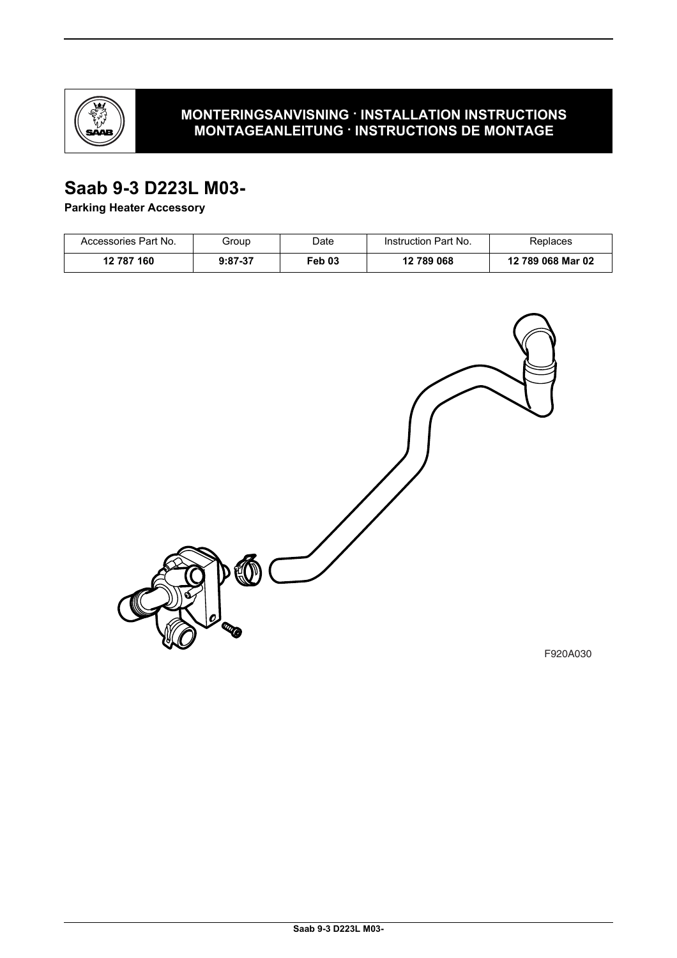

### **MONTERINGSANVISNING · INSTALLATION INSTRUCTIONS MONTAGEANLEITUNG · INSTRUCTIONS DE MONTAGE**

# **Saab 9-3 D223L M03-**

**Parking Heater Accessory**

| Accessories Part No. | Group     | Date   | Instruction Part No. | Replaces          |
|----------------------|-----------|--------|----------------------|-------------------|
| 12 787 160           | $9:87-37$ | Feb 03 | 12 789 068           | 12 789 068 Mar 02 |



F920A030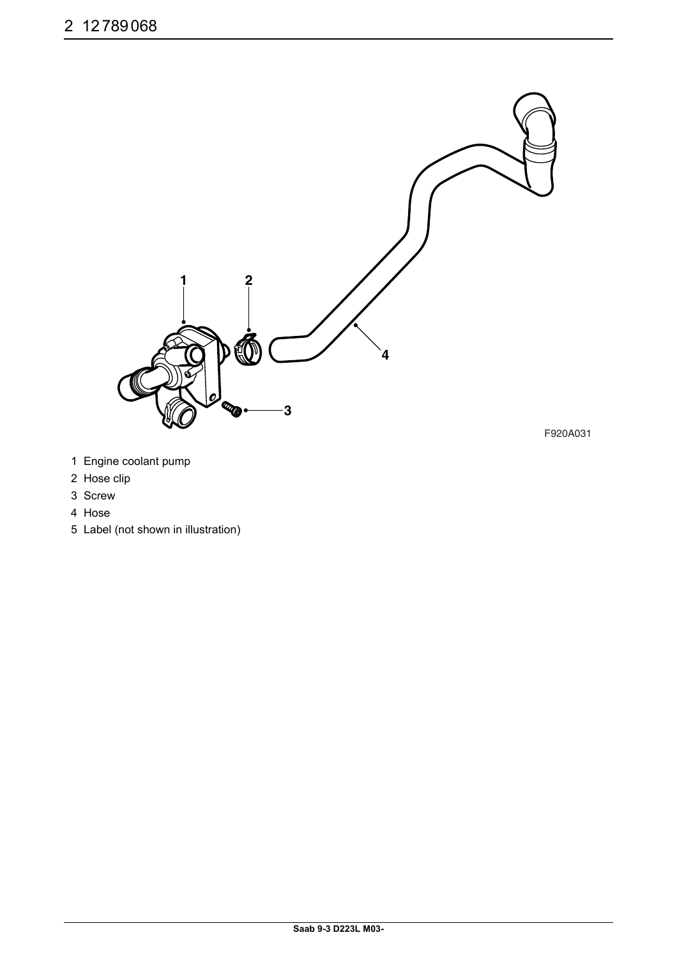

- 1 Engine coolant pump
- 2 Hose clip
- 3 Screw
- 4 Hose
- 5 Label (not shown in illustration)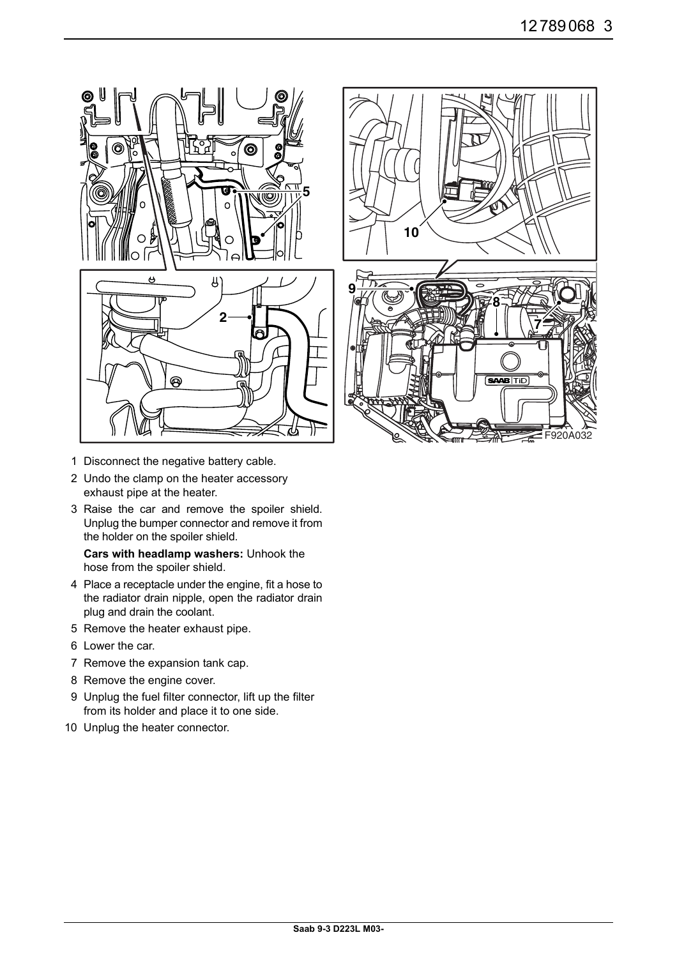



- 1 Disconnect the negative battery cable.
- 2 Undo the clamp on the heater accessory exhaust pipe at the heater.
- 3 Raise the car and remove the spoiler shield. Unplug the bumper connector and remove it from the holder on the spoiler shield.

**Cars with headlamp washers:** Unhook the hose from the spoiler shield.

- 4 Place a receptacle under the engine, fit a hose to the radiator drain nipple, open the radiator drain plug and drain the coolant.
- 5 Remove the heater exhaust pipe.
- 6 Lower the car.
- 7 Remove the expansion tank cap.
- 8 Remove the engine cover.
- 9 Unplug the fuel filter connector, lift up the filter from its holder and place it to one side.
- 10 Unplug the heater connector.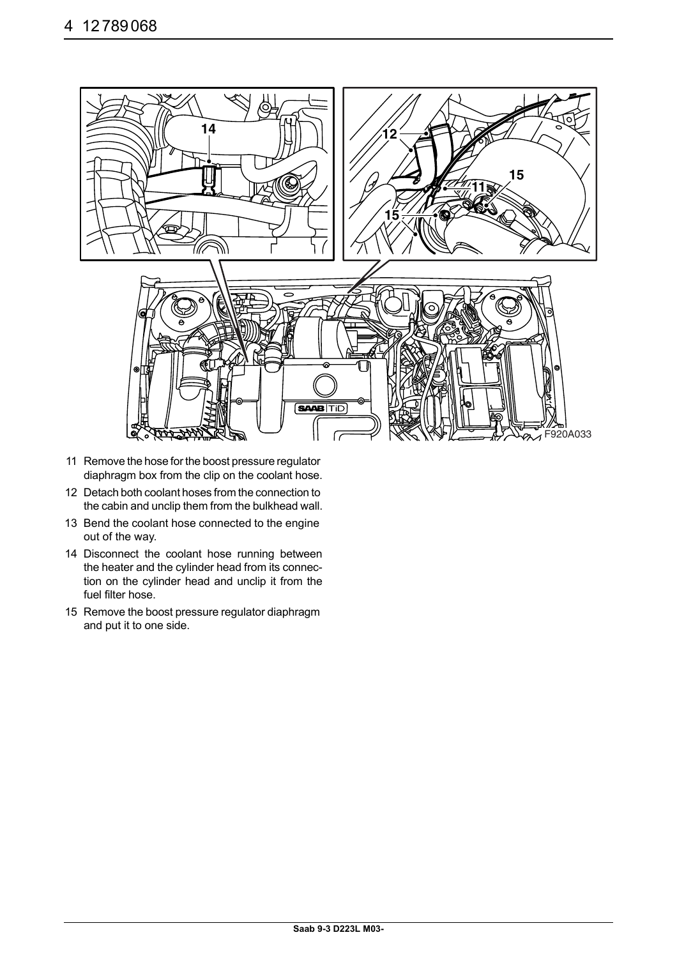

- 11 Remove the hose for the boost pressure regulator diaphragm box from the clip on the coolant hose.
- 12 Detach both coolant hoses from the connection to the cabin and unclip them from the bulkhead wall.
- 13 Bend the coolant hose connected to the engine out of the way.
- 14 Disconnect the coolant hose running between the heater and the cylinder head from its connection on the cylinder head and unclip it from the fuel filter hose.
- 15 Remove the boost pressure regulator diaphragm and put it to one side.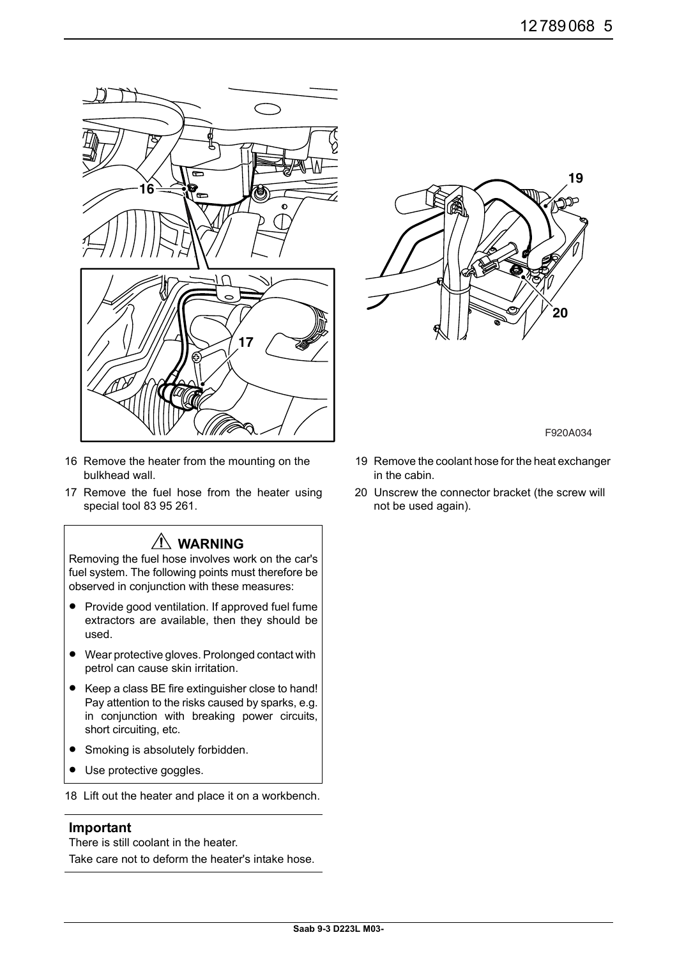

- 16 Remove the heater from the mounting on the bulkhead wall.
- 17 Remove the fuel hose from the heater using special tool 83 95 261.

## **WARNING**

Removing the fuel hose involves work on the car's fuel system. The following points must therefore be observed in conjunction with these measures:

- Provide good ventilation. If approved fuel fume extractors are available, then they should be used.
- Wear protective gloves. Prolonged contact with petrol can cause skin irritation.
- Keep a class BE fire extinguisher close to hand! Pay attention to the risks caused by sparks, e.g. in conjunction with breaking power circuits, short circuiting, etc.
- Smoking is absolutely forbidden.
- Use protective goggles.

18 Lift out the heater and place it on a workbench.

#### **Important**

There is still coolant in the heater.

Take care not to deform the heater's intake hose.



F920A034

- 19 Remove the coolant hose for the heat exchanger in the cabin.
- 20 Unscrew the connector bracket (the screw will not be used again).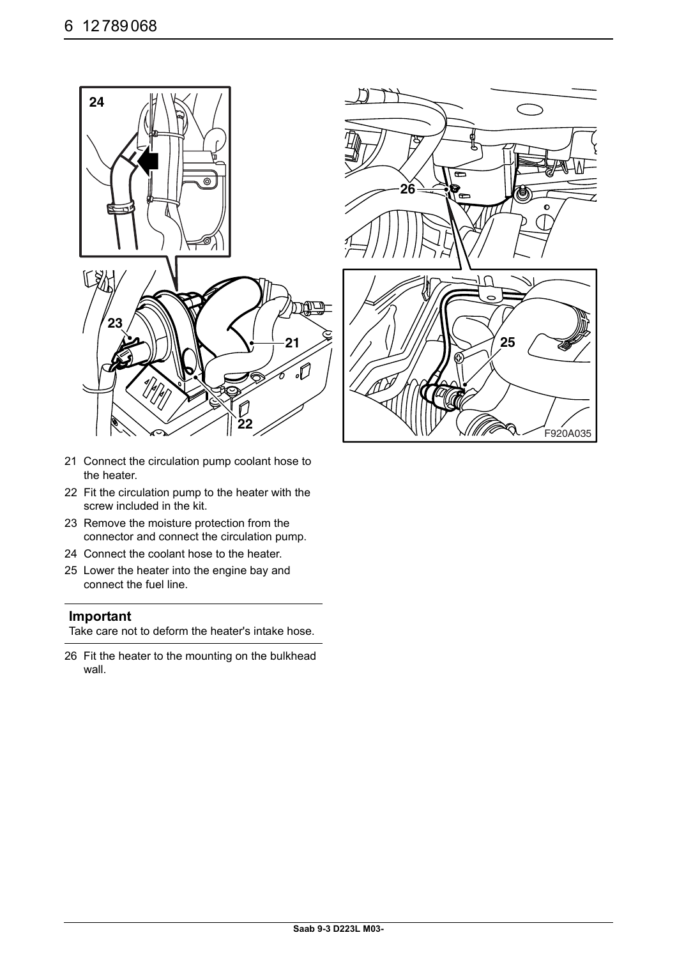

- 21 Connect the circulation pump coolant hose to the heater.
- 22 Fit the circulation pump to the heater with the screw included in the kit.
- 23 Remove the moisture protection from the connector and connect the circulation pump.
- 24 Connect the coolant hose to the heater.
- 25 Lower the heater into the engine bay and connect the fuel line.

#### **Important**

Take care not to deform the heater's intake hose.

26 Fit the heater to the mounting on the bulkhead wall.

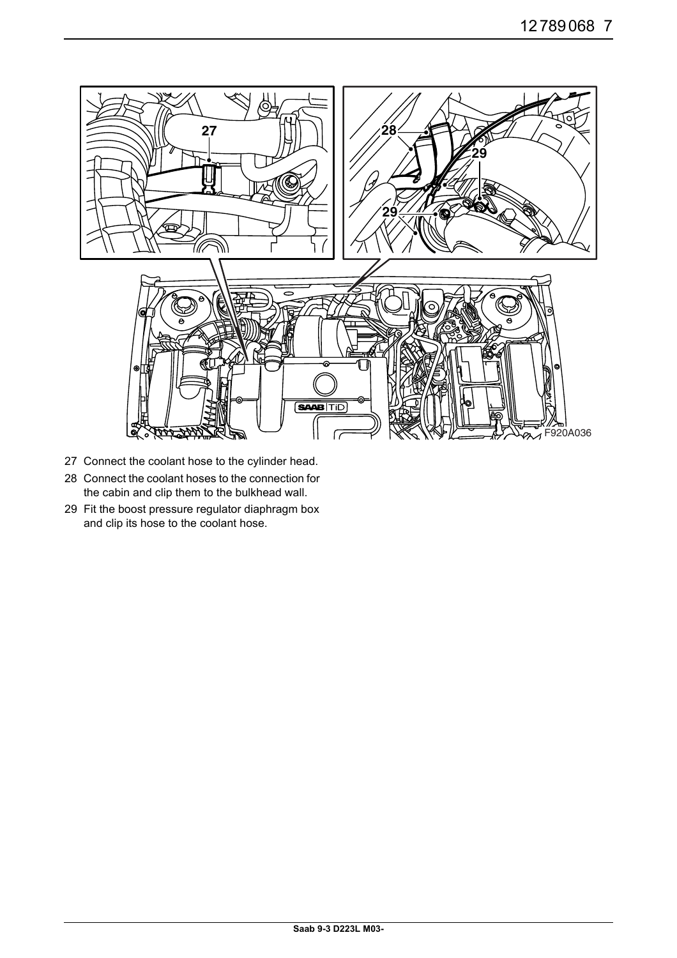

- 27 Connect the coolant hose to the cylinder head.
- 28 Connect the coolant hoses to the connection for the cabin and clip them to the bulkhead wall.
- 29 Fit the boost pressure regulator diaphragm box and clip its hose to the coolant hose.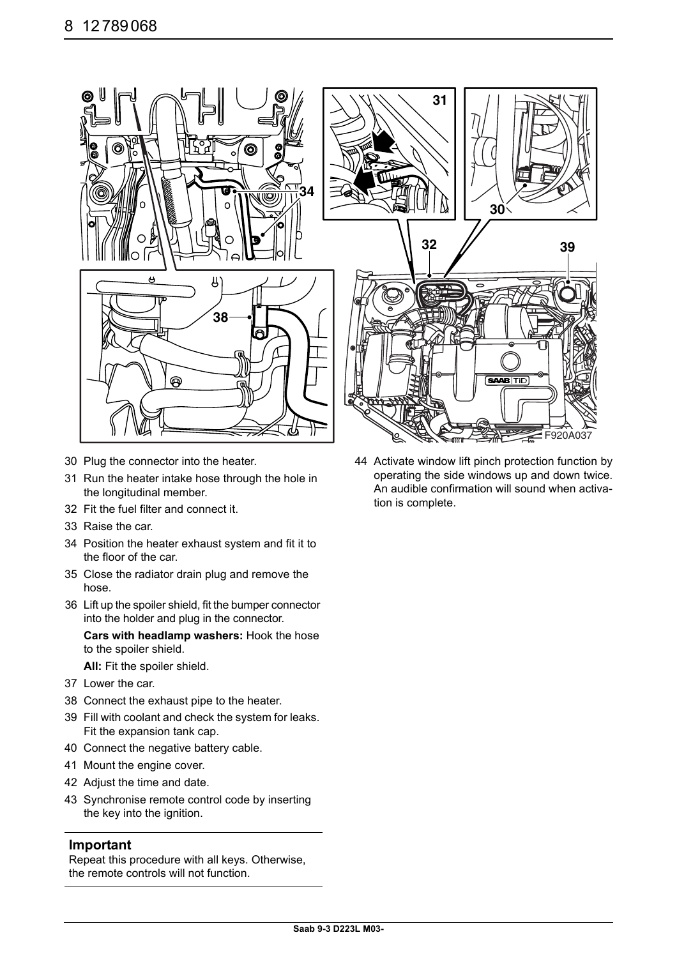

- 30 Plug the connector into the heater.
- 31 Run the heater intake hose through the hole in the longitudinal member.
- 32 Fit the fuel filter and connect it.
- 33 Raise the car.
- 34 Position the heater exhaust system and fit it to the floor of the car.
- 35 Close the radiator drain plug and remove the hose.
- 36 Lift up the spoiler shield, fit the bumper connector into the holder and plug in the connector.

**Cars with headlamp washers:** Hook the hose to the spoiler shield.

**All:** Fit the spoiler shield.

- 37 Lower the car.
- 38 Connect the exhaust pipe to the heater.
- 39 Fill with coolant and check the system for leaks. Fit the expansion tank cap.
- 40 Connect the negative battery cable.
- 41 Mount the engine cover.
- 42 Adjust the time and date.
- 43 Synchronise remote control code by inserting the key into the ignition.

#### **Important**

Repeat this procedure with all keys. Otherwise, the remote controls will not function.

44 Activate window lift pinch protection function by operating the side windows up and down twice. An audible confirmation will sound when activation is complete.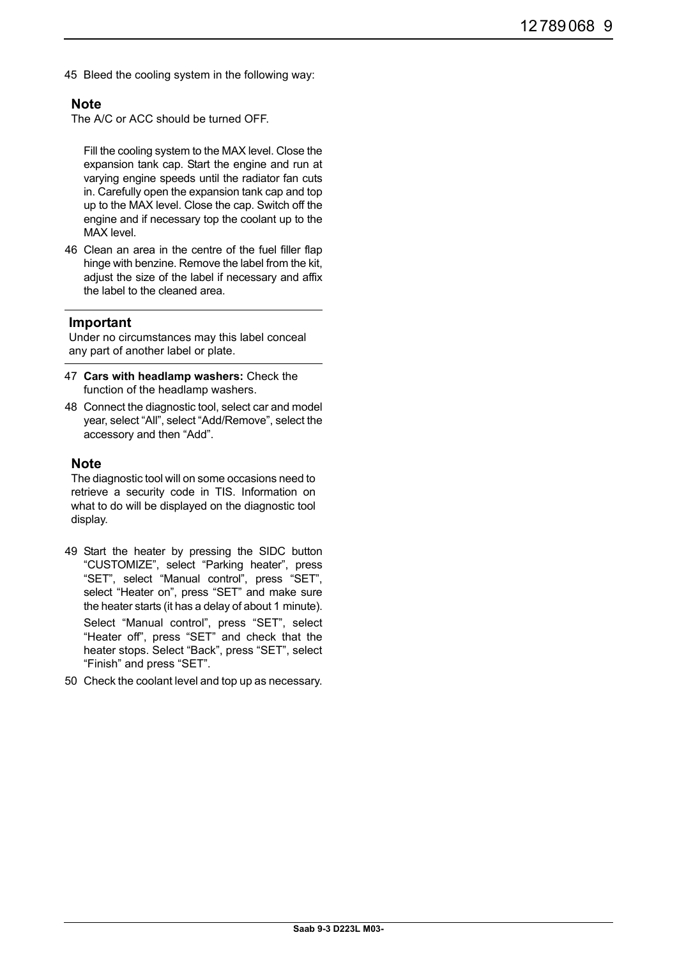45 Bleed the cooling system in the following way:

#### **Note**

The A/C or ACC should be turned OFF.

Fill the cooling system to the MAX level. Close the expansion tank cap. Start the engine and run at varying engine speeds until the radiator fan cuts in. Carefully open the expansion tank cap and top up to the MAX level. Close the cap. Switch off the engine and if necessary top the coolant up to the MAX level.

46 Clean an area in the centre of the fuel filler flap hinge with benzine. Remove the label from the kit, adjust the size of the label if necessary and affix the label to the cleaned area.

#### **Important**

Under no circumstances may this label conceal any part of another label or plate.

- 47 **Cars with headlamp washers:** Check the function of the headlamp washers.
- 48 Connect the diagnostic tool, select car and model year, select "All", select "Add/Remove", select the accessory and then "Add".

#### **Note**

The diagnostic tool will on some occasions need to retrieve a security code in TIS. Information on what to do will be displayed on the diagnostic tool display.

49 Start the heater by pressing the SIDC button "CUSTOMIZE", select "Parking heater", press "SET", select "Manual control", press "SET", select "Heater on", press "SET" and make sure the heater starts (it has a delay of about 1 minute).

Select "Manual control", press "SET", select "Heater off", press "SET" and check that the heater stops. Select "Back", press "SET", select "Finish" and press "SET".

50 Check the coolant level and top up as necessary.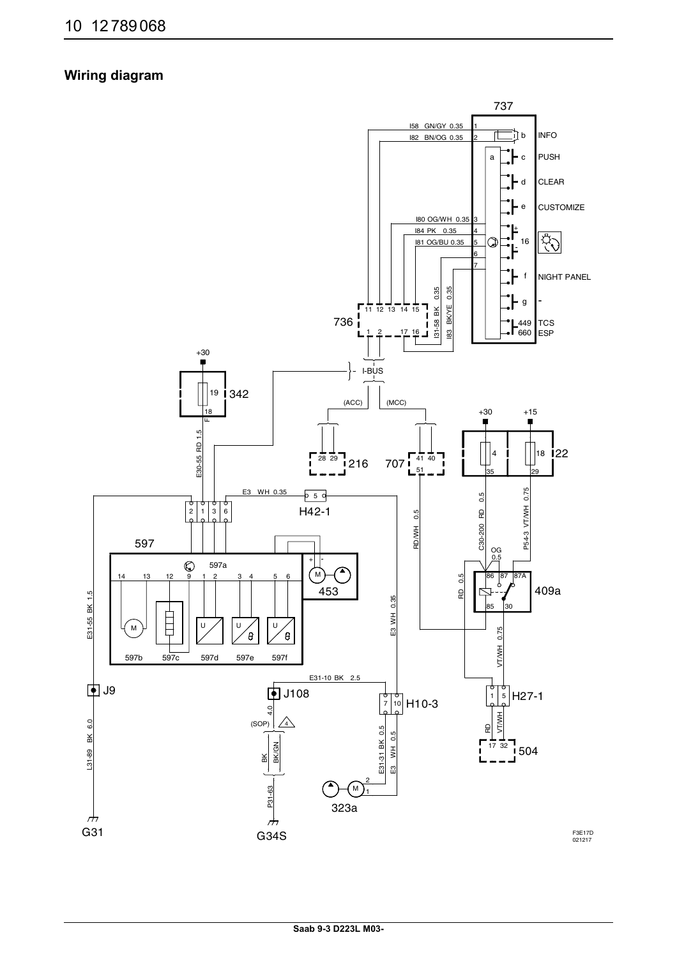### **Wiring diagram**